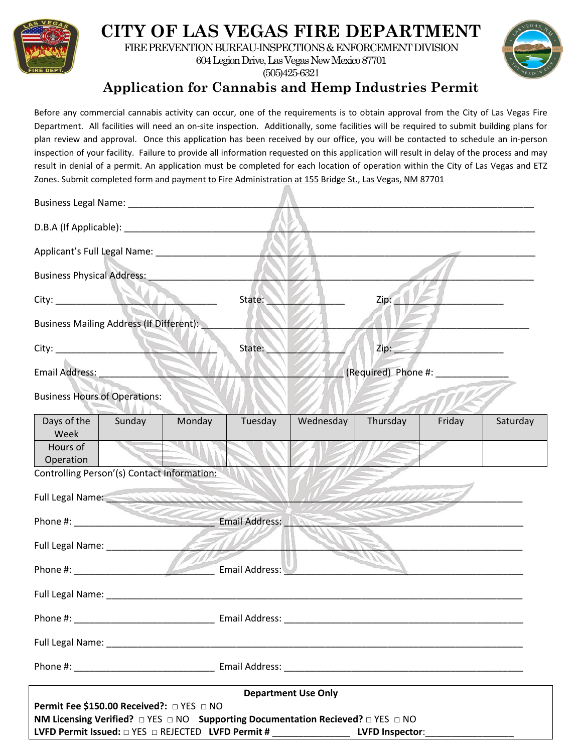

## **CITY OF LAS VEGAS FIRE DEPARTMENT**

FIRE PREVENTION BUREAU-INSPECTIONS & ENFORCEMENT DIVISION

604 Legion Drive, Las Vegas New Mexico 87701 (505)425-6321



**Application for Cannabis and Hemp Industries Permit**

Before any commercial cannabis activity can occur, one of the requirements is to obtain approval from the City of Las Vegas Fire Department. All facilities will need an on-site inspection. Additionally, some facilities will be required to submit building plans for plan review and approval. Once this application has been received by our office, you will be contacted to schedule an in-person inspection of your facility. Failure to provide all information requested on this application will result in delay of the process and may result in denial of a permit. An application must be completed for each location of operation within the City of Las Vegas and ETZ Zones. Submit completed form and payment to Fire Administration at 155 Bridge St., Las Vegas, NM 87701

| <b>Business Physical Address:</b>                                                                                                                                                                                                |        |        |         |           |                              |        |          |  |
|----------------------------------------------------------------------------------------------------------------------------------------------------------------------------------------------------------------------------------|--------|--------|---------|-----------|------------------------------|--------|----------|--|
| City:                                                                                                                                                                                                                            | 1 C    |        | State:  |           | Zip:                         |        |          |  |
| <b>Business Mailing Address (If Different):</b>                                                                                                                                                                                  |        |        |         |           |                              |        |          |  |
| City:                                                                                                                                                                                                                            |        |        | State:  |           | Zip:                         |        |          |  |
| Email Address: ___                                                                                                                                                                                                               |        |        |         |           | (Required) Phone #: ________ |        |          |  |
| <b>Business Hours of Operations:</b>                                                                                                                                                                                             |        |        |         |           |                              |        |          |  |
| Days of the<br>Week                                                                                                                                                                                                              | Sunday | Monday | Tuesday | Wednesday | Thursday                     | Friday | Saturday |  |
| Hours of<br>Operation                                                                                                                                                                                                            |        |        |         |           |                              |        |          |  |
| Controlling Person'(s) Contact Information:                                                                                                                                                                                      |        |        |         |           |                              |        |          |  |
| Full Legal Name: And Alberta Contact Contact Contact Contact Contact Contact Contact Contact Contact Contact Contact Contact Contact Contact Contact Contact Contact Contact Contact Contact Contact Contact Contact Contact C   |        |        |         |           |                              |        |          |  |
|                                                                                                                                                                                                                                  |        |        |         |           |                              |        |          |  |
|                                                                                                                                                                                                                                  |        |        |         |           |                              |        |          |  |
| Phone #: Email Address:                                                                                                                                                                                                          |        |        |         |           |                              |        |          |  |
|                                                                                                                                                                                                                                  |        |        |         |           |                              |        |          |  |
| Phone #:                                                                                                                                                                                                                         |        |        |         |           |                              |        |          |  |
|                                                                                                                                                                                                                                  |        |        |         |           |                              |        |          |  |
|                                                                                                                                                                                                                                  |        |        |         |           |                              |        |          |  |
| <b>Department Use Only</b>                                                                                                                                                                                                       |        |        |         |           |                              |        |          |  |
| Permit Fee \$150.00 Received?: □ YES □ NO<br>NM Licensing Verified? $\Box$ YES $\Box$ NO Supporting Documentation Recieved? $\Box$ YES $\Box$ NO<br>LVFD Permit Issued: $\Box$ YES $\Box$ REJECTED LVFD Permit # LVFD Inspector: |        |        |         |           |                              |        |          |  |